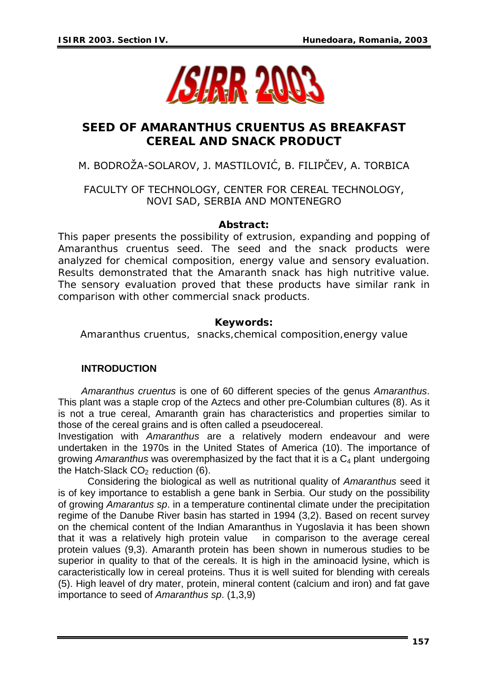

# **SEED OF** *AMARANTHUS CRUENTUS* **AS BREAKFAST CEREAL AND SNACK PRODUCT**

## M. BODROŽA-SOLAROV, J. MASTILOVIĆ, B. FILIPČEV, A. TORBICA

### FACULTY OF TECHNOLOGY, CENTER FOR CEREAL TECHNOLOGY, NOVI SAD, SERBIA AND MONTENEGRO

#### *Abstract:*

*This paper presents the possibility of extrusion, expanding and popping of Amaranthus cruentus seed. The seed and the snack products were analyzed for chemical composition, energy value and sensory evaluation. Results demonstrated that the Amaranth snack has high nutritive value. The sensory evaluation proved that these products have similar rank in comparison with other commercial snack products.* 

#### *Keywords:*

*Amaranthus cruentus, snacks,chemical composition,energy value* 

#### **INTRODUCTION**

*Amaranthus cruentus* is one of 60 different species of the genus *Amaranthus*. This plant was a staple crop of the Aztecs and other pre-Columbian cultures (8). As it is not a true cereal, Amaranth grain has characteristics and properties similar to those of the cereal grains and is often called a pseudocereal.

Investigation with *Amaranthus* are a relatively modern endeavour and were undertaken in the 1970s in the United States of America (10). The importance of growing *Amaranthus* was overemphasized by the fact that it is a C4 plant undergoing the Hatch-Slack  $CO<sub>2</sub>$  reduction (6).

Considering the biological as well as nutritional quality of *Amaranthus* seed it is of key importance to establish a gene bank in Serbia. Our study on the possibility of growing *Amarantus sp*. in a temperature continental climate under the precipitation regime of the Danube River basin has started in 1994 (3,2). Based on recent survey on the chemical content of the Indian Amaranthus in Yugoslavia it has been shown that it was a relatively high protein value in comparison to the average cereal protein values (9,3). Amaranth protein has been shown in numerous studies to be superior in quality to that of the cereals. It is high in the aminoacid lysine, which is caracteristically low in cereal proteins. Thus it is well suited for blending with cereals (5). High leavel of dry mater, protein, mineral content (calcium and iron) and fat gave importance to seed of *Amaranthus sp*. (1,3,9)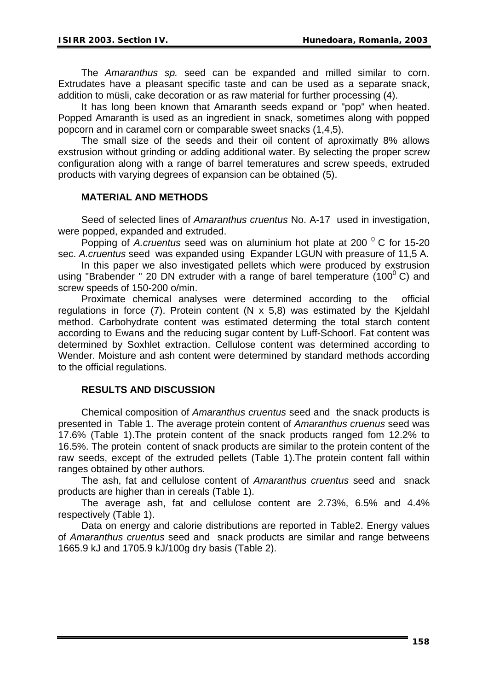The *Amaranthus sp.* seed can be expanded and milled similar to corn. Extrudates have a pleasant specific taste and can be used as a separate snack, addition to müsli, cake decoration or as raw material for further processing (4).

It has long been known that Amaranth seeds expand or "pop" when heated. Popped Amaranth is used as an ingredient in snack, sometimes along with popped popcorn and in caramel corn or comparable sweet snacks (1,4,5).

The small size of the seeds and their oil content of aproximatly 8% allows exstrusion without grinding or adding additional water. By selecting the proper screw configuration along with a range of barrel temeratures and screw speeds, extruded products with varying degrees of expansion can be obtained (5).

#### **MATERIAL AND METHODS**

Seed of selected lines of *Amaranthus cruentus* No. A-17 used in investigation, were popped, expanded and extruded.

Popping of *A.cruentus* seed was on aluminium hot plate at 200<sup>°</sup> C for 15-20 sec. *A.cruentus* seed was expanded using Expander LGUN with preasure of 11,5 A.

In this paper we also investigated pellets which were produced by exstrusion using "Brabender " 20 DN extruder with a range of barel temperature (100 $^{\circ}$  C) and screw speeds of 150-200 o/min.

Proximate chemical analyses were determined according to the official regulations in force  $(7)$ . Protein content  $(N \times 5.8)$  was estimated by the Kjeldahl method. Carbohydrate content was estimated determing the total starch content according to Ewans and the reducing sugar content by Luff-Schoorl. Fat content was determined by Soxhlet extraction. Cellulose content was determined according to Wender. Moisture and ash content were determined by standard methods according to the official regulations.

#### **RESULTS AND DISCUSSION**

Chemical composition of *Amaranthus cruentus* seed and the snack products is presented in Table 1. The average protein content of *Amaranthus cruenus* seed was 17.6% (Table 1).The protein content of the snack products ranged fom 12.2% to 16.5%. The protein content of snack products are similar to the protein content of the raw seeds, except of the extruded pellets (Table 1).The protein content fall within ranges obtained by other authors.

The ash, fat and cellulose content of *Amaranthus cruentus* seed and snack products are higher than in cereals (Table 1).

The average ash, fat and cellulose content are 2.73%, 6.5% and 4.4% respectively (Table 1).

Data on energy and calorie distributions are reported in Table2. Energy values of *Amaranthus cruentus* seed and snack products are similar and range betweens 1665.9 kJ and 1705.9 kJ/100g dry basis (Table 2).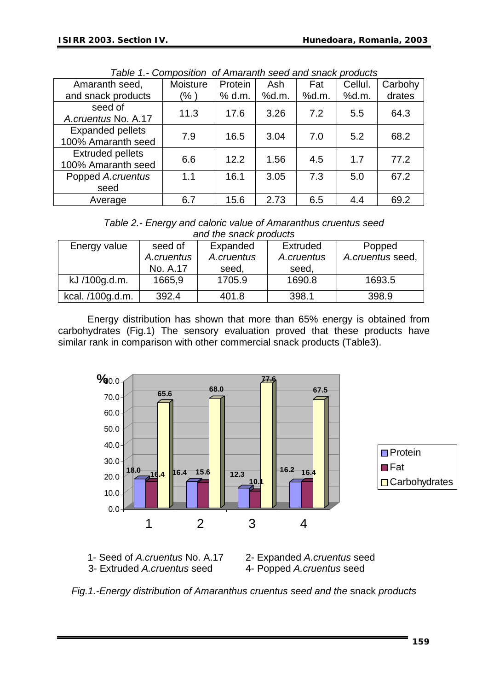|                                               | rapid II. Oompooliich of Amarahii ooca ahd onder producto |         |       |       |         |         |
|-----------------------------------------------|-----------------------------------------------------------|---------|-------|-------|---------|---------|
| Amaranth seed,                                | Moisture                                                  | Protein | Ash   | Fat   | Cellul. | Carbohy |
| and snack products                            | (% )                                                      | % d.m.  | %d.m. | %d.m. | %d.m.   | drates  |
| seed of<br>A.cruentus No. A.17                | 11.3                                                      | 17.6    | 3.26  | 7.2   | 5.5     | 64.3    |
| <b>Expanded pellets</b><br>100% Amaranth seed | 7.9                                                       | 16.5    | 3.04  | 7.0   | 5.2     | 68.2    |
| <b>Extruded pellets</b><br>100% Amaranth seed | 6.6                                                       | 12.2    | 1.56  | 4.5   | 1.7     | 77.2    |
| Popped A.cruentus                             | 1.1                                                       | 16.1    | 3.05  | 7.3   | 5.0     | 67.2    |
| seed                                          |                                                           |         |       |       |         |         |
| Average                                       | 6.7                                                       | 15.6    | 2.73  | 6.5   | 4.4     | 69.2    |

*Table 1.- Composition of Amaranth seed and snack products* 

| Table 2.- Energy and caloric value of Amaranthus cruentus seed |
|----------------------------------------------------------------|
| and the snack products                                         |

| Energy value     | seed of    | Expanded   | Extruded   | Popped           |
|------------------|------------|------------|------------|------------------|
|                  | A.cruentus | A.cruentus | A.cruentus | A.cruentus seed, |
|                  | No. A.17   | seed,      | seed,      |                  |
| kJ /100g.d.m.    | 1665,9     | 1705.9     | 1690.8     | 1693.5           |
| kcal. /100g.d.m. | 392.4      | 401.8      | 398.1      | 398.9            |

Energy distribution has shown that more than 65% energy is obtained from carbohydrates (Fig.1) The sensory evaluation proved that these products have similar rank in comparison with other commercial snack products (Table3).





3- Extruded A.cruentus seed 4- Popped A.cruentus seed